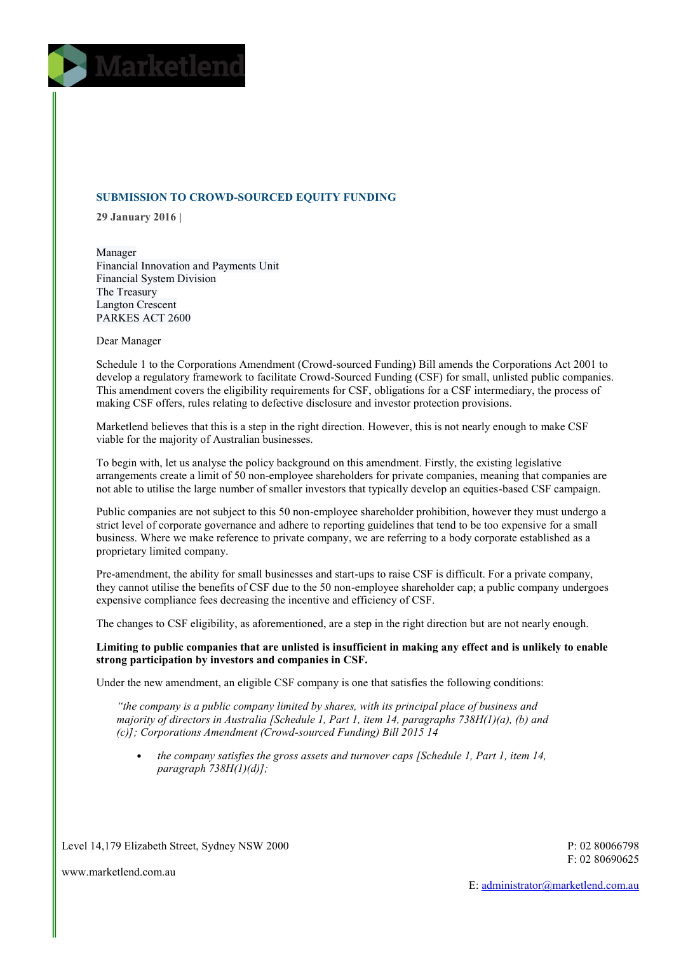

# **SUBMISSION TO CROWD-SOURCED EQUITY FUNDING**

**29 January 2016 |** 

Manager Financial Innovation and Payments Unit Financial System Division The Treasury Langton Crescent PARKES ACT 2600

Dear Manager

Schedule 1 to the Corporations Amendment (Crowd-sourced Funding) Bill amends the Corporations Act 2001 to develop a regulatory framework to facilitate Crowd-Sourced Funding (CSF) for small, unlisted public companies. This amendment covers the eligibility requirements for CSF, obligations for a CSF intermediary, the process of making CSF offers, rules relating to defective disclosure and investor protection provisions.

Marketlend believes that this is a step in the right direction. However, this is not nearly enough to make CSF viable for the majority of Australian businesses.

To begin with, let us analyse the policy background on this amendment. Firstly, the existing legislative arrangements create a limit of 50 non-employee shareholders for private companies, meaning that companies are not able to utilise the large number of smaller investors that typically develop an equities-based CSF campaign.

Public companies are not subject to this 50 non-employee shareholder prohibition, however they must undergo a strict level of corporate governance and adhere to reporting guidelines that tend to be too expensive for a small business. Where we make reference to private company, we are referring to a body corporate established as a proprietary limited company.

Pre-amendment, the ability for small businesses and start-ups to raise CSF is difficult. For a private company, they cannot utilise the benefits of CSF due to the 50 non-employee shareholder cap; a public company undergoes expensive compliance fees decreasing the incentive and efficiency of CSF.

The changes to CSF eligibility, as aforementioned, are a step in the right direction but are not nearly enough.

**Limiting to public companies that are unlisted is insufficient in making any effect and is unlikely to enable strong participation by investors and companies in CSF.**

Under the new amendment, an eligible CSF company is one that satisfies the following conditions:

*"the company is a public company limited by shares, with its principal place of business and majority of directors in Australia [Schedule 1, Part 1, item 14, paragraphs 738H(1)(a), (b) and (c)]; Corporations Amendment (Crowd-sourced Funding) Bill 2015 14*

• *the company satisfies the gross assets and turnover caps [Schedule 1, Part 1, item 14, paragraph 738H(1)(d)];*

Level 14,179 Elizabeth Street, Sydney NSW 2000

P: 02 80066798 F: 02 80690625

www.marketlend.com.au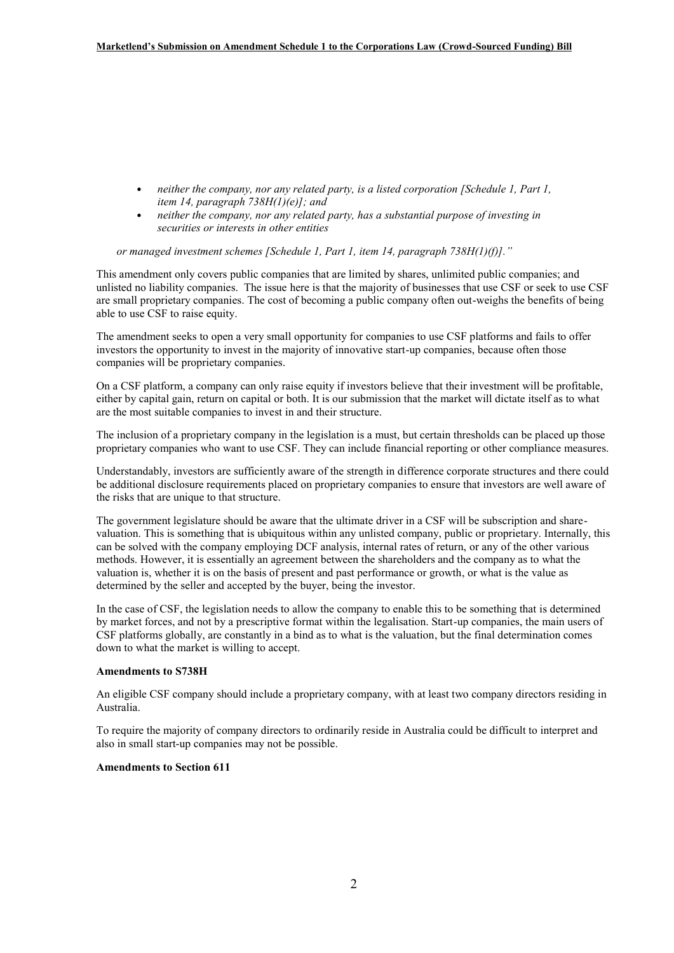- *neither the company, nor any related party, is a listed corporation [Schedule 1, Part 1, item 14, paragraph 738H(1)(e)]; and*
- *neither the company, nor any related party, has a substantial purpose of investing in securities or interests in other entities*

*or managed investment schemes [Schedule 1, Part 1, item 14, paragraph 738H(1)(f)]."*

This amendment only covers public companies that are limited by shares, unlimited public companies; and unlisted no liability companies. The issue here is that the majority of businesses that use CSF or seek to use CSF are small proprietary companies. The cost of becoming a public company often out-weighs the benefits of being able to use CSF to raise equity.

The amendment seeks to open a very small opportunity for companies to use CSF platforms and fails to offer investors the opportunity to invest in the majority of innovative start-up companies, because often those companies will be proprietary companies.

On a CSF platform, a company can only raise equity if investors believe that their investment will be profitable, either by capital gain, return on capital or both. It is our submission that the market will dictate itself as to what are the most suitable companies to invest in and their structure.

The inclusion of a proprietary company in the legislation is a must, but certain thresholds can be placed up those proprietary companies who want to use CSF. They can include financial reporting or other compliance measures.

Understandably, investors are sufficiently aware of the strength in difference corporate structures and there could be additional disclosure requirements placed on proprietary companies to ensure that investors are well aware of the risks that are unique to that structure.

The government legislature should be aware that the ultimate driver in a CSF will be subscription and sharevaluation. This is something that is ubiquitous within any unlisted company, public or proprietary. Internally, this can be solved with the company employing DCF analysis, internal rates of return, or any of the other various methods. However, it is essentially an agreement between the shareholders and the company as to what the valuation is, whether it is on the basis of present and past performance or growth, or what is the value as determined by the seller and accepted by the buyer, being the investor.

In the case of CSF, the legislation needs to allow the company to enable this to be something that is determined by market forces, and not by a prescriptive format within the legalisation. Start-up companies, the main users of CSF platforms globally, are constantly in a bind as to what is the valuation, but the final determination comes down to what the market is willing to accept.

# **Amendments to S738H**

An eligible CSF company should include a proprietary company, with at least two company directors residing in Australia.

To require the majority of company directors to ordinarily reside in Australia could be difficult to interpret and also in small start-up companies may not be possible.

# **Amendments to Section 611**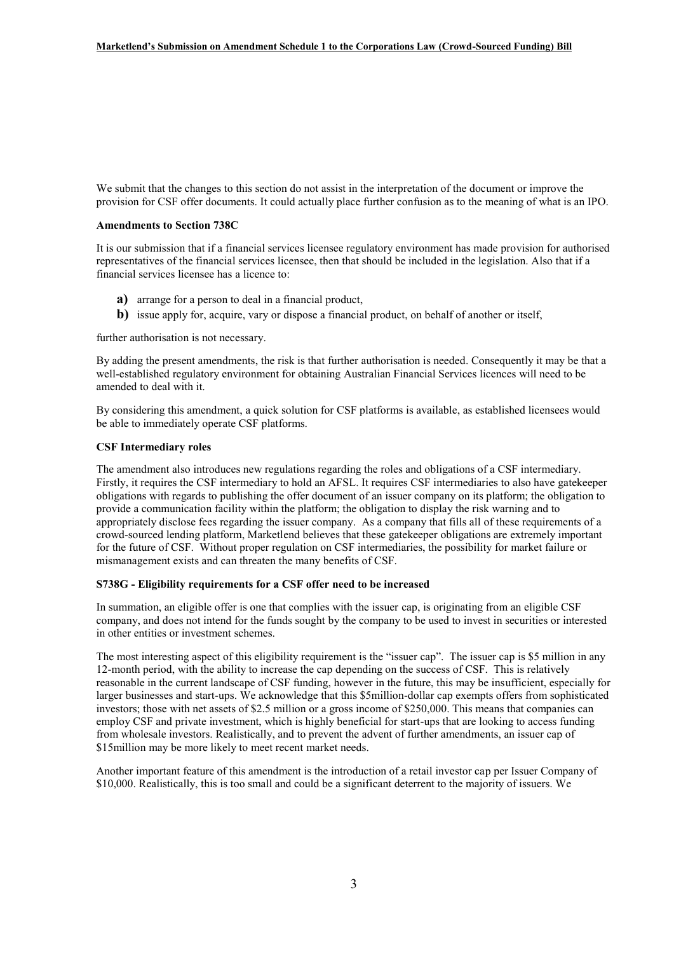We submit that the changes to this section do not assist in the interpretation of the document or improve the provision for CSF offer documents. It could actually place further confusion as to the meaning of what is an IPO.

# **Amendments to Section 738C**

It is our submission that if a financial services licensee regulatory environment has made provision for authorised representatives of the financial services licensee, then that should be included in the legislation. Also that if a financial services licensee has a licence to:

- **a)** arrange for a person to deal in a financial product,
- **b)** issue apply for, acquire, vary or dispose a financial product, on behalf of another or itself,

further authorisation is not necessary.

By adding the present amendments, the risk is that further authorisation is needed. Consequently it may be that a well-established regulatory environment for obtaining Australian Financial Services licences will need to be amended to deal with it.

By considering this amendment, a quick solution for CSF platforms is available, as established licensees would be able to immediately operate CSF platforms.

# **CSF Intermediary roles**

The amendment also introduces new regulations regarding the roles and obligations of a CSF intermediary. Firstly, it requires the CSF intermediary to hold an AFSL. It requires CSF intermediaries to also have gatekeeper obligations with regards to publishing the offer document of an issuer company on its platform; the obligation to provide a communication facility within the platform; the obligation to display the risk warning and to appropriately disclose fees regarding the issuer company. As a company that fills all of these requirements of a crowd-sourced lending platform, Marketlend believes that these gatekeeper obligations are extremely important for the future of CSF. Without proper regulation on CSF intermediaries, the possibility for market failure or mismanagement exists and can threaten the many benefits of CSF.

# **S738G - Eligibility requirements for a CSF offer need to be increased**

In summation, an eligible offer is one that complies with the issuer cap, is originating from an eligible CSF company, and does not intend for the funds sought by the company to be used to invest in securities or interested in other entities or investment schemes.

The most interesting aspect of this eligibility requirement is the "issuer cap". The issuer cap is \$5 million in any 12-month period, with the ability to increase the cap depending on the success of CSF. This is relatively reasonable in the current landscape of CSF funding, however in the future, this may be insufficient, especially for larger businesses and start-ups. We acknowledge that this \$5million-dollar cap exempts offers from sophisticated investors; those with net assets of \$2.5 million or a gross income of \$250,000. This means that companies can employ CSF and private investment, which is highly beneficial for start-ups that are looking to access funding from wholesale investors. Realistically, and to prevent the advent of further amendments, an issuer cap of \$15million may be more likely to meet recent market needs.

Another important feature of this amendment is the introduction of a retail investor cap per Issuer Company of \$10,000. Realistically, this is too small and could be a significant deterrent to the majority of issuers. We